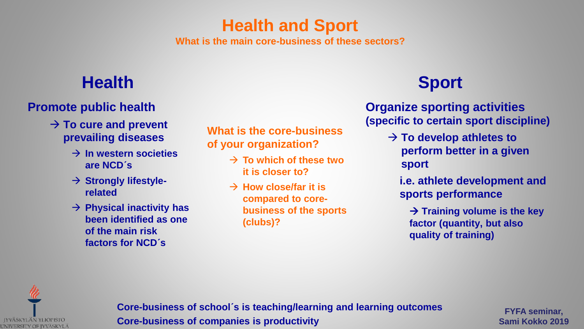## **Health and Sport What is the main core-business of these sectors?**

# **Health Sport**

### **Promote public health**

- → **To cure and prevent prevailing diseases**
	- → **In western societies are NCD´s**
	- → **Strongly lifestylerelated**
	- → **Physical inactivity has been identified as one of the main risk factors for NCD´s**

**What is the core-business of your organization?**

- → **To which of these two it is closer to?**
- → **How close/far it is compared to corebusiness of the sports (clubs)?**

**Organize sporting activities (specific to certain sport discipline)**

> → **To develop athletes to perform better in a given sport**

**i.e. athlete development and sports performance**

→ **Training volume is the key factor (quantity, but also quality of training)**



**Core-business of school´s is teaching/learning and learning outcomes Core-business of companies is productivity**

**FYFA seminar, Sami Kokko 2019**